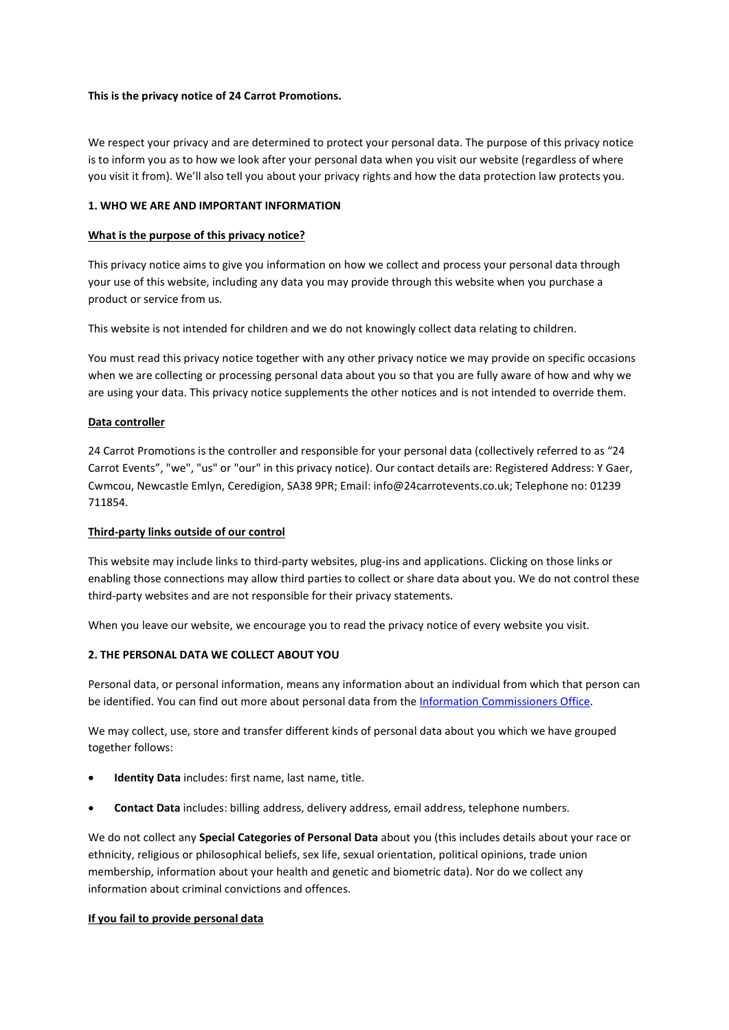### This is the privacy notice of 24 Carrot Promotions.

We respect your privacy and are determined to protect your personal data. The purpose of this privacy notice is to inform you as to how we look after your personal data when you visit our website (regardless of where you visit it from). We'll also tell you about your privacy rights and how the data protection law protects you.

# 1. WHO WE ARE AND IMPORTANT INFORMATION

### What is the purpose of this privacy notice?

This privacy notice aims to give you information on how we collect and process your personal data through your use of this website, including any data you may provide through this website when you purchase a product or service from us.

This website is not intended for children and we do not knowingly collect data relating to children.

You must read this privacy notice together with any other privacy notice we may provide on specific occasions when we are collecting or processing personal data about you so that you are fully aware of how and why we are using your data. This privacy notice supplements the other notices and is not intended to override them.

### Data controller

24 Carrot Promotions is the controller and responsible for your personal data (collectively referred to as "24 Carrot Events", "we", "us" or "our" in this privacy notice). Our contact details are: Registered Address: Y Gaer, Cwmcou, Newcastle Emlyn, Ceredigion, SA38 9PR; Email: info@24carrotevents.co.uk; Telephone no: 01239 711854.

### Third-party links outside of our control

This website may include links to third-party websites, plug-ins and applications. Clicking on those links or enabling those connections may allow third parties to collect or share data about you. We do not control these third-party websites and are not responsible for their privacy statements.

When you leave our website, we encourage you to read the privacy notice of every website you visit.

# 2. THE PERSONAL DATA WE COLLECT ABOUT YOU

Personal data, or personal information, means any information about an individual from which that person can be identified. You can find out more about personal data from the Information Commissioners Office.

We may collect, use, store and transfer different kinds of personal data about you which we have grouped together follows:

- Identity Data includes: first name, last name, title.
- Contact Data includes: billing address, delivery address, email address, telephone numbers.

We do not collect any **Special Categories of Personal Data** about you (this includes details about your race or ethnicity, religious or philosophical beliefs, sex life, sexual orientation, political opinions, trade union membership, information about your health and genetic and biometric data). Nor do we collect any information about criminal convictions and offences.

### If you fail to provide personal data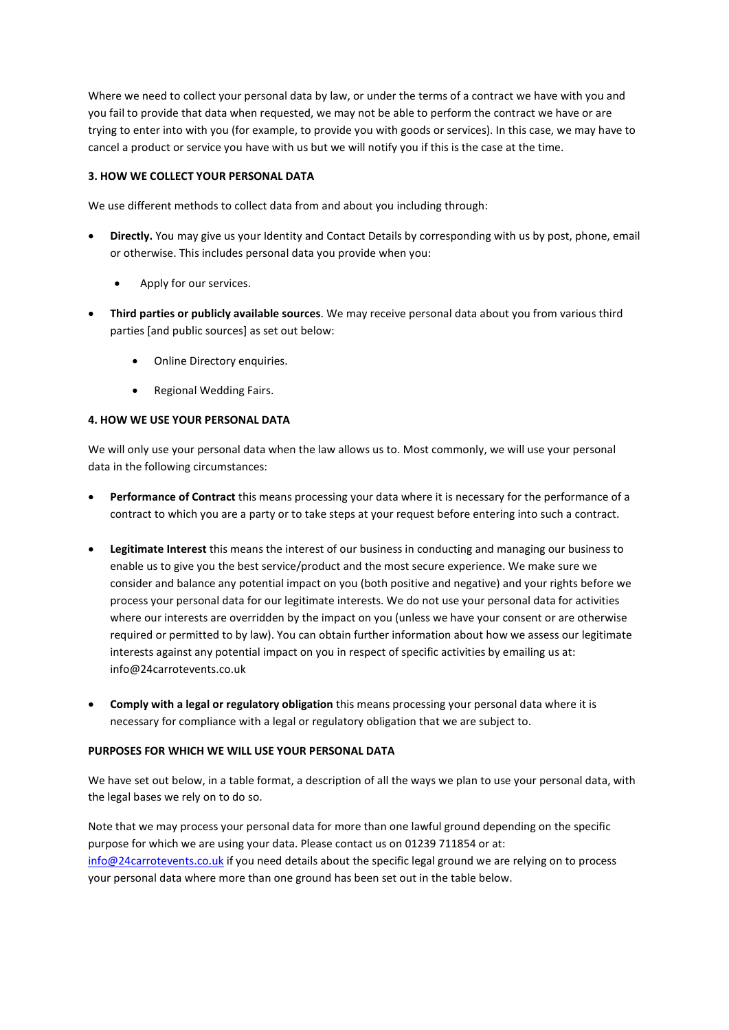Where we need to collect your personal data by law, or under the terms of a contract we have with you and you fail to provide that data when requested, we may not be able to perform the contract we have or are trying to enter into with you (for example, to provide you with goods or services). In this case, we may have to cancel a product or service you have with us but we will notify you if this is the case at the time.

# 3. HOW WE COLLECT YOUR PERSONAL DATA

We use different methods to collect data from and about you including through:

- Directly. You may give us your Identity and Contact Details by corresponding with us by post, phone, email or otherwise. This includes personal data you provide when you:
	- Apply for our services.
- Third parties or publicly available sources. We may receive personal data about you from various third parties [and public sources] as set out below:
	- Online Directory enquiries.
	- Regional Wedding Fairs.

### 4. HOW WE USE YOUR PERSONAL DATA

We will only use your personal data when the law allows us to. Most commonly, we will use your personal data in the following circumstances:

- Performance of Contract this means processing your data where it is necessary for the performance of a contract to which you are a party or to take steps at your request before entering into such a contract.
- Legitimate Interest this means the interest of our business in conducting and managing our business to enable us to give you the best service/product and the most secure experience. We make sure we consider and balance any potential impact on you (both positive and negative) and your rights before we process your personal data for our legitimate interests. We do not use your personal data for activities where our interests are overridden by the impact on you (unless we have your consent or are otherwise required or permitted to by law). You can obtain further information about how we assess our legitimate interests against any potential impact on you in respect of specific activities by emailing us at: info@24carrotevents.co.uk
- Comply with a legal or regulatory obligation this means processing your personal data where it is necessary for compliance with a legal or regulatory obligation that we are subject to.

# PURPOSES FOR WHICH WE WILL USE YOUR PERSONAL DATA

We have set out below, in a table format, a description of all the ways we plan to use your personal data, with the legal bases we rely on to do so.

Note that we may process your personal data for more than one lawful ground depending on the specific purpose for which we are using your data. Please contact us on 01239 711854 or at: info@24carrotevents.co.uk if you need details about the specific legal ground we are relying on to process your personal data where more than one ground has been set out in the table below.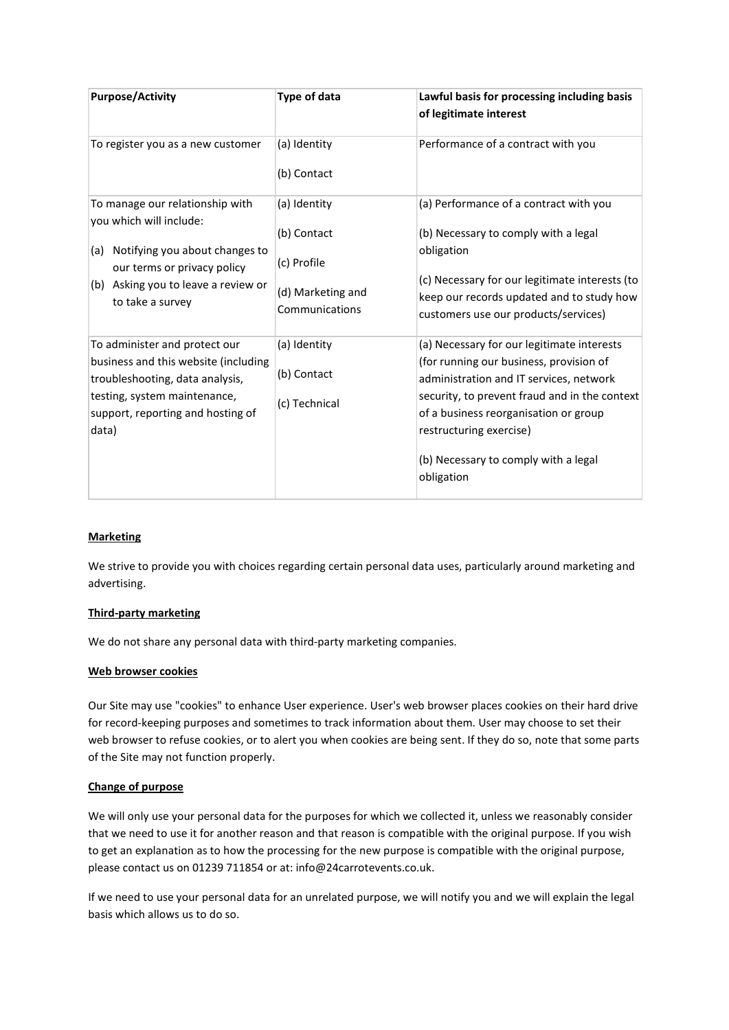| <b>Purpose/Activity</b>                                                                                                                                                                       | Type of data                                                                      | Lawful basis for processing including basis<br>of legitimate interest                                                                                                                                                                                                                                       |
|-----------------------------------------------------------------------------------------------------------------------------------------------------------------------------------------------|-----------------------------------------------------------------------------------|-------------------------------------------------------------------------------------------------------------------------------------------------------------------------------------------------------------------------------------------------------------------------------------------------------------|
| To register you as a new customer                                                                                                                                                             | (a) Identity<br>(b) Contact                                                       | Performance of a contract with you                                                                                                                                                                                                                                                                          |
| To manage our relationship with<br>you which will include:<br>Notifying you about changes to<br>(a)<br>our terms or privacy policy<br>(b) Asking you to leave a review or<br>to take a survey | (a) Identity<br>(b) Contact<br>(c) Profile<br>(d) Marketing and<br>Communications | (a) Performance of a contract with you<br>(b) Necessary to comply with a legal<br>obligation<br>(c) Necessary for our legitimate interests (to<br>keep our records updated and to study how<br>customers use our products/services)                                                                         |
| To administer and protect our<br>business and this website (including<br>troubleshooting, data analysis,<br>testing, system maintenance,<br>support, reporting and hosting of<br>data)        | (a) Identity<br>(b) Contact<br>(c) Technical                                      | (a) Necessary for our legitimate interests<br>(for running our business, provision of<br>administration and IT services, network<br>security, to prevent fraud and in the context<br>of a business reorganisation or group<br>restructuring exercise)<br>(b) Necessary to comply with a legal<br>obligation |

# **Marketing**

We strive to provide you with choices regarding certain personal data uses, particularly around marketing and advertising.

# Third-party marketing

We do not share any personal data with third-party marketing companies.

#### Web browser cookies

Our Site may use "cookies" to enhance User experience. User's web browser places cookies on their hard drive for record-keeping purposes and sometimes to track information about them. User may choose to set their web browser to refuse cookies, or to alert you when cookies are being sent. If they do so, note that some parts of the Site may not function properly.

### Change of purpose

We will only use your personal data for the purposes for which we collected it, unless we reasonably consider that we need to use it for another reason and that reason is compatible with the original purpose. If you wish to get an explanation as to how the processing for the new purpose is compatible with the original purpose, please contact us on 01239 711854 or at: info@24carrotevents.co.uk.

If we need to use your personal data for an unrelated purpose, we will notify you and we will explain the legal basis which allows us to do so.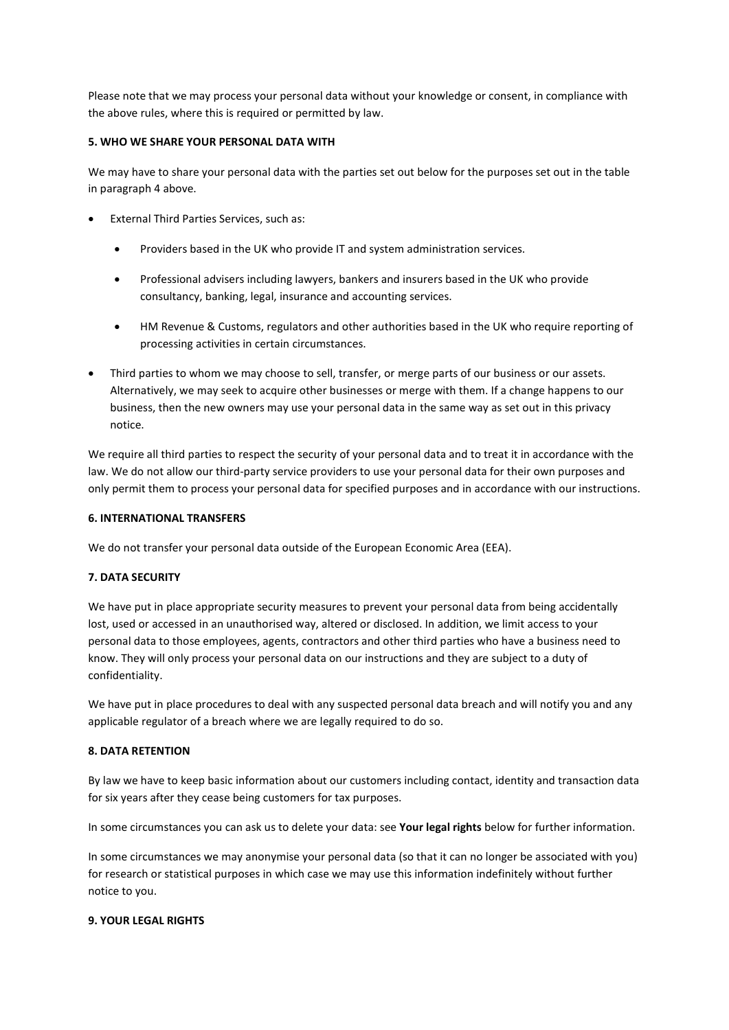Please note that we may process your personal data without your knowledge or consent, in compliance with the above rules, where this is required or permitted by law.

### 5. WHO WE SHARE YOUR PERSONAL DATA WITH

We may have to share your personal data with the parties set out below for the purposes set out in the table in paragraph 4 above.

- External Third Parties Services, such as:
	- Providers based in the UK who provide IT and system administration services.
	- Professional advisers including lawyers, bankers and insurers based in the UK who provide consultancy, banking, legal, insurance and accounting services.
	- HM Revenue & Customs, regulators and other authorities based in the UK who require reporting of processing activities in certain circumstances.
- Third parties to whom we may choose to sell, transfer, or merge parts of our business or our assets. Alternatively, we may seek to acquire other businesses or merge with them. If a change happens to our business, then the new owners may use your personal data in the same way as set out in this privacy notice.

We require all third parties to respect the security of your personal data and to treat it in accordance with the law. We do not allow our third-party service providers to use your personal data for their own purposes and only permit them to process your personal data for specified purposes and in accordance with our instructions.

### 6. INTERNATIONAL TRANSFERS

We do not transfer your personal data outside of the European Economic Area (EEA).

### 7. DATA SECURITY

We have put in place appropriate security measures to prevent your personal data from being accidentally lost, used or accessed in an unauthorised way, altered or disclosed. In addition, we limit access to your personal data to those employees, agents, contractors and other third parties who have a business need to know. They will only process your personal data on our instructions and they are subject to a duty of confidentiality.

We have put in place procedures to deal with any suspected personal data breach and will notify you and any applicable regulator of a breach where we are legally required to do so.

### 8. DATA RETENTION

By law we have to keep basic information about our customers including contact, identity and transaction data for six years after they cease being customers for tax purposes.

In some circumstances you can ask us to delete your data: see Your legal rights below for further information.

In some circumstances we may anonymise your personal data (so that it can no longer be associated with you) for research or statistical purposes in which case we may use this information indefinitely without further notice to you.

### 9. YOUR LEGAL RIGHTS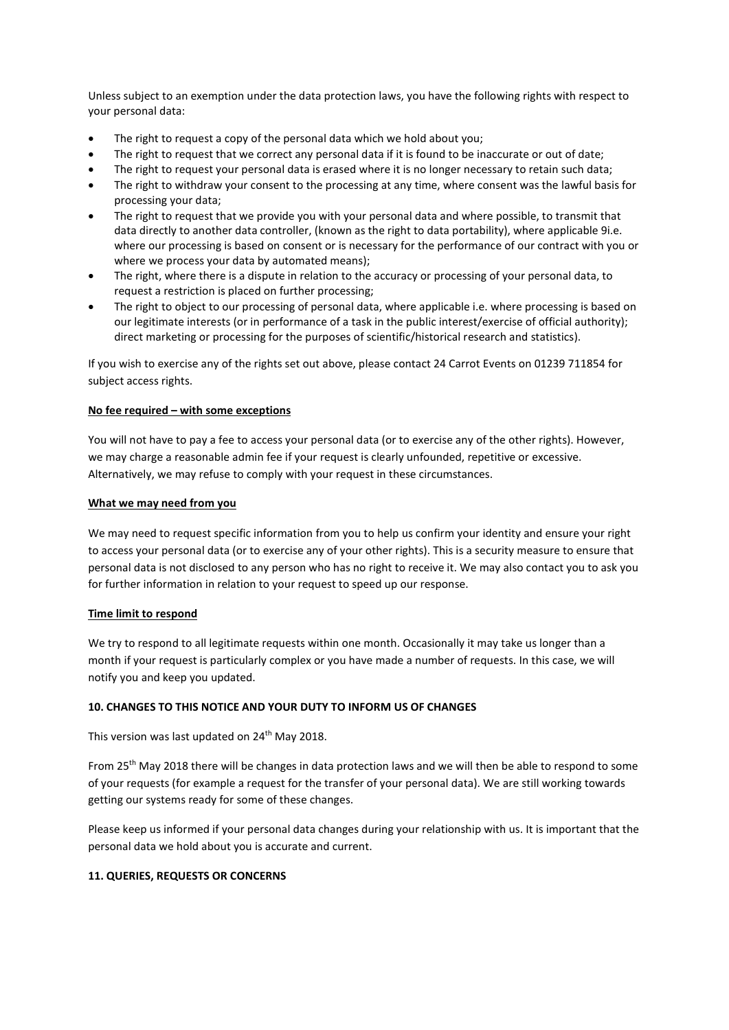Unless subject to an exemption under the data protection laws, you have the following rights with respect to your personal data:

- The right to request a copy of the personal data which we hold about you;
- The right to request that we correct any personal data if it is found to be inaccurate or out of date;
- The right to request your personal data is erased where it is no longer necessary to retain such data;
- The right to withdraw your consent to the processing at any time, where consent was the lawful basis for processing your data;
- The right to request that we provide you with your personal data and where possible, to transmit that data directly to another data controller, (known as the right to data portability), where applicable 9i.e. where our processing is based on consent or is necessary for the performance of our contract with you or where we process your data by automated means);
- The right, where there is a dispute in relation to the accuracy or processing of your personal data, to request a restriction is placed on further processing;
- The right to object to our processing of personal data, where applicable i.e. where processing is based on our legitimate interests (or in performance of a task in the public interest/exercise of official authority); direct marketing or processing for the purposes of scientific/historical research and statistics).

If you wish to exercise any of the rights set out above, please contact 24 Carrot Events on 01239 711854 for subject access rights.

### No fee required – with some exceptions

You will not have to pay a fee to access your personal data (or to exercise any of the other rights). However, we may charge a reasonable admin fee if your request is clearly unfounded, repetitive or excessive. Alternatively, we may refuse to comply with your request in these circumstances.

### What we may need from you

We may need to request specific information from you to help us confirm your identity and ensure your right to access your personal data (or to exercise any of your other rights). This is a security measure to ensure that personal data is not disclosed to any person who has no right to receive it. We may also contact you to ask you for further information in relation to your request to speed up our response.

### Time limit to respond

We try to respond to all legitimate requests within one month. Occasionally it may take us longer than a month if your request is particularly complex or you have made a number of requests. In this case, we will notify you and keep you updated.

### 10. CHANGES TO THIS NOTICE AND YOUR DUTY TO INFORM US OF CHANGES

This version was last updated on 24<sup>th</sup> May 2018.

From 25<sup>th</sup> May 2018 there will be changes in data protection laws and we will then be able to respond to some of your requests (for example a request for the transfer of your personal data). We are still working towards getting our systems ready for some of these changes.

Please keep us informed if your personal data changes during your relationship with us. It is important that the personal data we hold about you is accurate and current.

### 11. QUERIES, REQUESTS OR CONCERNS